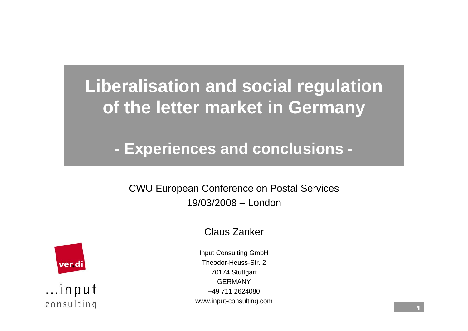**Liberalisation and social regulation of the letter market in Germany**

 **Experiences and conclusions -**

CWU European Conference on Postal Services 19/03/2008 – London

Claus Zanker



...input consulting

Input Consulting GmbH Theodor-Heuss-Str. 270174 Stuttgart GERMANY+49 711 2624080www.input-consulting.com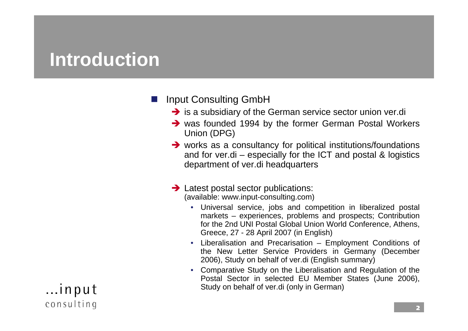#### **Introduction**

#### $\overline{\phantom{a}}$ Input Consulting GmbH

- $\rightarrow$  is a subsidiary of the German service sector union ver.di
- $\rightarrow$  was founded 1994 by the former German Postal Workers Union (DPG)
- $\rightarrow$  works as a consultancy for political institutions/foundations and for ver.di – especially for the ICT and postal & logistics department of ver.di headquarters

#### $\rightarrow$  Latest postal sector publications: (available: www.input-consulting.com)

- Universal service, jobs and competition in liberalized postal markets – experiences, problems and prospects; Contribution for the 2nd UNI Postal Global Union World Conference, Athens, Greece, 27 - 28 April 2007 (in English)
- Liberalisation and Precarisation Employment Conditions of the New Letter Service Providers in Germany (December 2006), Study on behalf of ver.di (English summary)
- Comparative Study on the Liberalisation and Regulation of the Postal Sector in selected EU Member States (June 2006), Study on behalf of ver.di (only in German)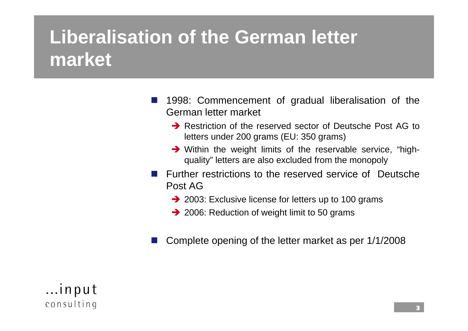### **Liberalisation of the German letter market**

- $\overline{\phantom{a}}$  1998: Commencement of gradual liberalisation of the German letter market
	- $\rightarrow$  Restriction of the reserved sector of Deutsche Post AG to letters under 200 grams (EU: 350 grams)
	- $\rightarrow$  Within the weight limits of the reservable service, "highquality" letters are also excluded from the monopoly
- **Further restrictions to the reserved service of Deutsche** Post AG
	- $\rightarrow$  2003: Exclusive license for letters up to 100 grams
	- $\rightarrow$  2006: Reduction of weight limit to 50 grams
- $\overline{\phantom{a}}$ Complete opening of the letter market as per 1/1/2008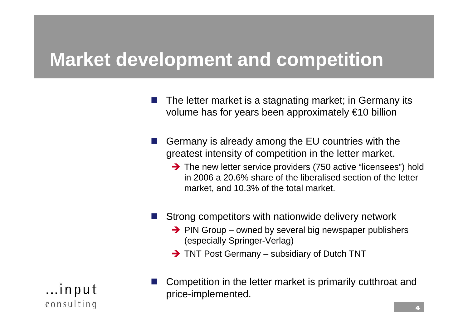#### **Market development and competition**

- $\overline{\phantom{a}}$  The letter market is a stagnating market; in Germany its volume has for years been approximately €10 billion
- $\overline{\phantom{a}}$  Germany is already among the EU countries with the greatest intensity of competition in the letter market.
	- $\rightarrow$  The new letter service providers (750 active "licensees") hold in 2006 a 20.6% share of the liberalised section of the letter market, and 10.3% of the total market.
- $\overline{\phantom{a}}$  Strong competitors with nationwide delivery network
	- $\rightarrow$  PIN Group owned by several big newspaper publishers (especially Springer-Verlag)
	- $\rightarrow$  TNT Post Germany subsidiary of Dutch TNT

...input consulting  $\overline{\phantom{a}}$  Competition in the letter market is primarily cutthroat and price-implemented.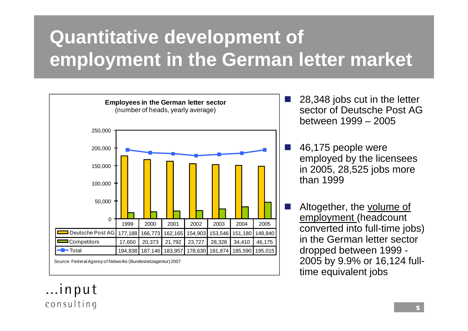# **Quantitative development of employment in the German letter market**



 28,348 jobs cut in the letter sector of Deutsche Post AG between 1999 – 2005

 46,175 people were employed by the licensees in 2005, 28,525 jobs more than 1999

 Altogether, the volume of employment (headcount converted into full-time jobs) in the German letter sector dropped between 1999 - 2005 by 9.9% or 16,124 fulltime equivalent jobs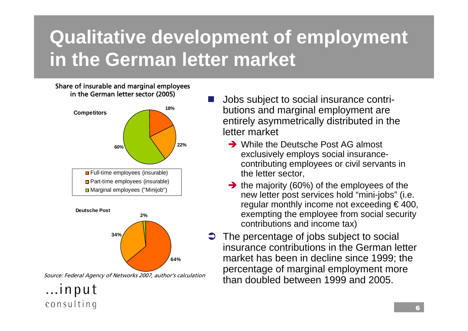# **Qualitative development of employment in the German letter market**

 $\mathcal{L}(\mathcal{A})$ 

#### Share of insurable and marginal employees in the German letter sector (2005)





Source: Federal Agency of Networks 2007, author's calculation

- Jobs subject to social insurance contributions and marginal employment are entirely asymmetrically distributed in the letter market
	- $\rightarrow$  While the Deutsche Post AG almost exclusively employs social insurancecontributing employees or civil servants in the letter sector,
	- $\rightarrow$  the majority (60%) of the employees of the new letter post services hold "mini-jobs" (i.e. regular monthly income not exceeding  $\epsilon$  400, exempting the employee from social security contributions and income tax)
- $\bullet$  The percentage of jobs subject to social insurance contributions in the German letter market has been in decline since 1999; the percentage of marginal employment more than doubled between 1999 and 2005.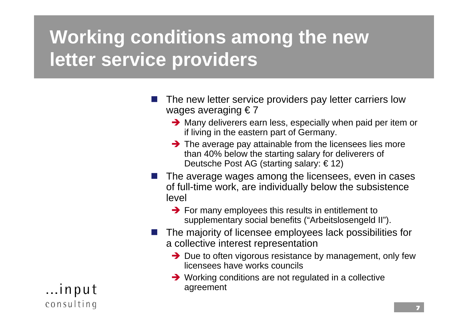### **Working conditions among the new letter service providers**

- $\overline{\phantom{a}}$  The new letter service providers pay letter carriers low wages averaging  $\epsilon$  7
	- $\rightarrow$  Many deliverers earn less, especially when paid per item or if living in the eastern part of Germany.
	- $\rightarrow$  The average pay attainable from the licensees lies more than 40% below the starting salary for deliverers of Deutsche Post AG (starting salary: € 12)
- $\overline{\phantom{a}}$  The average wages among the licensees, even in cases of full-time work, are individually below the subsistence level
	- $\rightarrow$  For many employees this results in entitlement to supplementary social benefits ("Arbeitslosengeld II").
- $\overline{\phantom{a}}$  The majority of licensee employees lack possibilities for a collective interest representation
	- $\rightarrow$  Due to often vigorous resistance by management, only few licensees have works councils
	- $\rightarrow$  Working conditions are not regulated in a collective agreement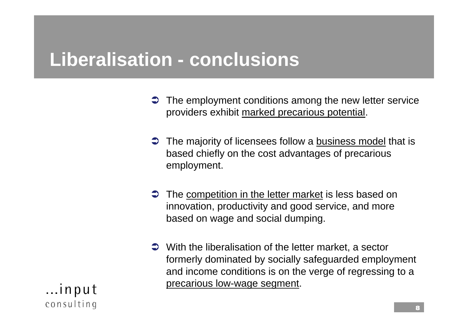#### **Liberalisation - conclusions**

- $\bullet$  The employment conditions among the new letter service providers exhibit marked precarious potential.
- The majority of licensees follow a business model that is based chiefly on the cost advantages of precarious employment.
- $\bullet$  The competition in the letter market is less based on innovation, productivity and good service, and more based on wage and social dumping.
- $\supset$  With the liberalisation of the letter market, a sector formerly dominated by socially safeguarded employment and income conditions is on the verge of regressing to a precarious low-wage segment.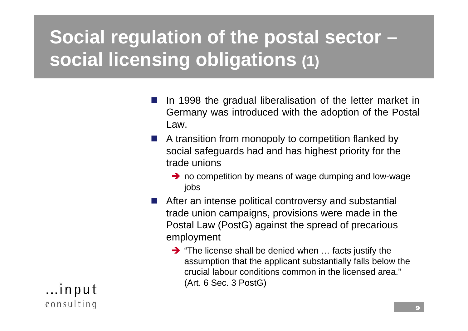## **Social regulation of the postal sector – social licensing obligations (1)**

- $\overline{\phantom{a}}$  In 1998 the gradual liberalisation of the letter market in Germany was introduced with the adoption of the Postal Law.
- **A** transition from monopoly to competition flanked by social safeguards had and has highest priority for the trade unions
	- $\rightarrow$  no competition by means of wage dumping and low-wage jobs
- **After an intense political controversy and substantial** trade union campaigns, provisions were made in the Postal Law (PostG) against the spread of precarious employment
	- $\rightarrow$  "The license shall be denied when ... facts justify the assumption that the applicant substantially falls below the crucial labour conditions common in the licensed area."(Art. 6 Sec. 3 PostG)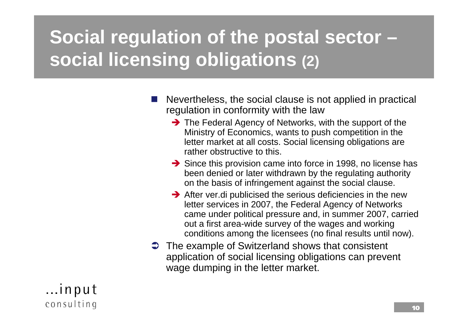## **Social regulation of the postal sector – social licensing obligations (2)**

- $\overline{\phantom{a}}$  Nevertheless, the social clause is not applied in practical regulation in conformity with the law
	- $\rightarrow$  The Federal Agency of Networks, with the support of the Ministry of Economics, wants to push competition in the letter market at all costs. Social licensing obligations are rather obstructive to this.
	- $\rightarrow$  Since this provision came into force in 1998, no license has been denied or later withdrawn by the regulating authority on the basis of infringement against the social clause.
	- $\rightarrow$  After ver.di publicised the serious deficiencies in the new letter services in 2007, the Federal Agency of Networks came under political pressure and, in summer 2007, carried out a first area-wide survey of the wages and working conditions among the licensees (no final results until now).
- $\supset$  The example of Switzerland shows that consistent application of social licensing obligations can prevent wage dumping in the letter market.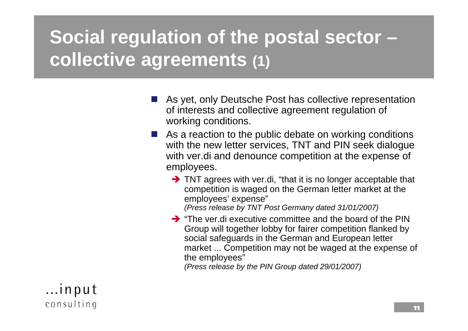## **Social regulation of the postal sector – collective agreements (1)**

- As yet, only Deutsche Post has collective representation of interests and collective agreement regulation of working conditions.
- As a reaction to the public debate on working conditions with the new letter services, TNT and PIN seek dialogue with ver.di and denounce competition at the expense of employees.
	- $\rightarrow$  TNT agrees with ver.di, "that it is no longer acceptable that competition is waged on the German letter market at the employees' expense" *(Press release by TNT Post Germany dated 31/01/2007)*

 $\rightarrow$  "The ver.di executive committee and the board of the PIN Group will together lobby for fairer competition flanked by social safeguards in the German and European letter market ... Competition may not be waged at the expense of the employees"

*(Press release by the PIN Group dated 29/01/2007)*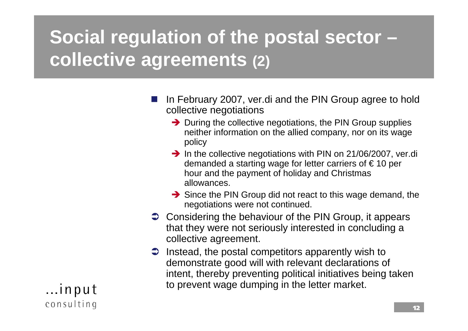# **Social regulation of the postal sector – collective agreements (2)**

- $\overline{\phantom{a}}$  In February 2007, ver.di and the PIN Group agree to hold collective negotiations
	- $\rightarrow$  During the collective negotiations, the PIN Group supplies neither information on the allied company, nor on its wage policy
	- $\rightarrow$  In the collective negotiations with PIN on 21/06/2007, ver.di demanded a starting wage for letter carriers of  $\epsilon$  10 per hour and the payment of holiday and Christmas allowances.
	- $\rightarrow$  Since the PIN Group did not react to this wage demand, the negotiations were not continued.
- Considering the behaviour of the PIN Group, it appears that they were not seriously interested in concluding a collective agreement.
- $\supset$  Instead, the postal competitors apparently wish to demonstrate good will with relevant declarations of intent, thereby preventing political initiatives being taken to prevent wage dumping in the letter market.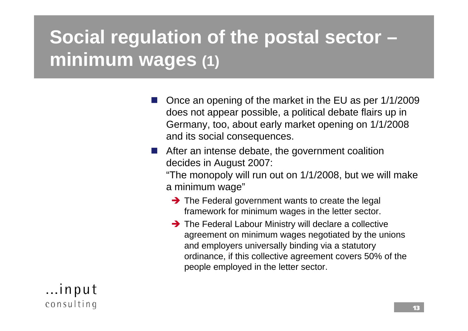# **Social regulation of the postal sector – minimum wages (1)**

- $\overline{\phantom{a}}$  Once an opening of the market in the EU as per 1/1/2009 does not appear possible, a political debate flairs up in Germany, too, about early market opening on 1/1/2008 and its social consequences.
- $\overline{\phantom{a}}$  After an intense debate, the government coalition decides in August 2007:

"The monopoly will run out on 1/1/2008, but we will make a minimum wage"

- $\rightarrow$  The Federal government wants to create the legal framework for minimum wages in the letter sector.
- $\rightarrow$  The Federal Labour Ministry will declare a collective agreement on minimum wages negotiated by the unions and employers universally binding via a statutory ordinance, if this collective agreement covers 50% of the people employed in the letter sector.

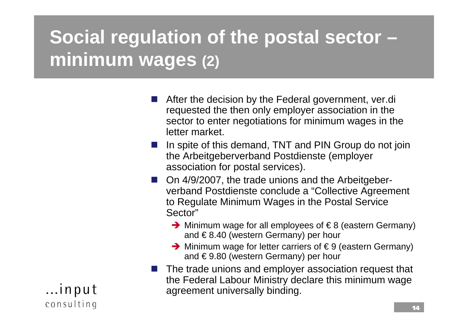# **Social regulation of the postal sector – minimum wages (2)**

- $\overline{\phantom{a}}$  After the decision by the Federal government, ver.di requested the then only employer association in the sector to enter negotiations for minimum wages in the letter market.
- I In spite of this demand, TNT and PIN Group do not join the Arbeitgeberverband Postdienste (employer association for postal services).
- On 4/9/2007, the trade unions and the Arbeitgeberverband Postdienste conclude a "Collective Agreement to Regulate Minimum Wages in the Postal Service Sector"
	- $\rightarrow$  Minimum wage for all employees of  $\in$  8 (eastern Germany) and  $\epsilon$ 8.40 (western Germany) per hour
	- $\rightarrow$  Minimum wage for letter carriers of  $\in$  9 (eastern Germany) and € 9.80 (western Germany) per hour
- $\blacksquare$  The trade unions and employer association request that the Federal Labour Ministry declare this minimum wage agreement universally binding.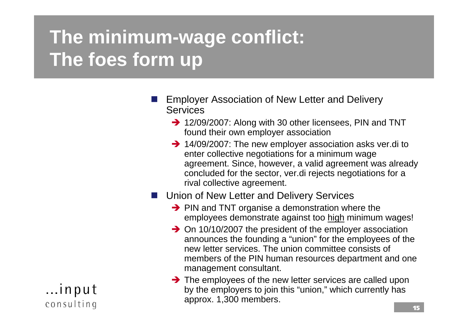# **The minimum-wage conflict: The foes form up**

- $\overline{\phantom{a}}$  Employer Association of New Letter and Delivery **Services** 
	- $\rightarrow$  12/09/2007: Along with 30 other licensees, PIN and TNT found their own employer association
	- $\rightarrow$  14/09/2007: The new employer association asks ver.di to enter collective negotiations for a minimum wage agreement. Since, however, a valid agreement was already concluded for the sector, ver.di rejects negotiations for a rival collective agreement.

#### **Union of New Letter and Delivery Services**

- $\rightarrow$  PIN and TNT organise a demonstration where the employees demonstrate against too high minimum wages!
- $\rightarrow$  On 10/10/2007 the president of the employer association announces the founding a "union" for the employees of the new letter services. The union committee consists of members of the PIN human resources department and one management consultant.
- $\rightarrow$  The employees of the new letter services are called upon by the employers to join this "union," which currently has approx. 1,300 members.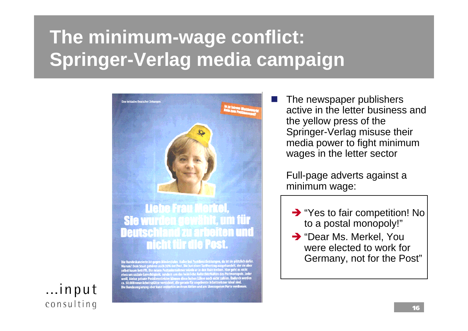#### **The minimum-wage conflict: Springer-Verlag media campaign**



neue Arbeitsplätze vernichtet, die gerade für ungelernte<br>regierung aber kann weiterhin an ihren Aktien und am i

 The newspaper publishers active in the letter business and the yellow press of the Springer-Verlag misuse their media power to fight minimum wages in the letter sector

Full-page adverts against a minimum wage:

- $\rightarrow$  "Yes to fair competition! No to a postal monopoly!"
- $\rightarrow$  "Dear Ms. Merkel, You were elected to work for Germany, not for the Post"

...input consulting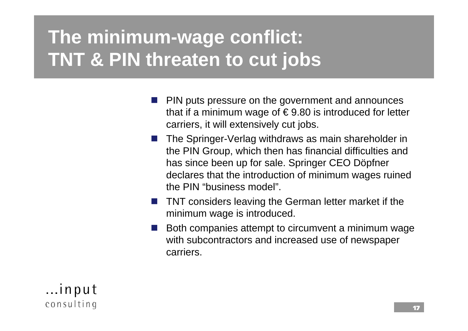### **The minimum-wage conflict: TNT & PIN threaten to cut jobs**

- $\overline{\phantom{a}}$  PIN puts pressure on the government and announces that if a minimum wage of  $\epsilon$  9.80 is introduced for letter carriers, it will extensively cut jobs.
- **The Springer-Verlag withdraws as main shareholder in** the PIN Group, which then has financial difficulties and has since been up for sale. Springer CEO Döpfner declares that the introduction of minimum wages ruined the PIN "business model".
- $\overline{\phantom{a}}$  TNT considers leaving the German letter market if the minimum wage is introduced.
- F Both companies attempt to circumvent a minimum wage with subcontractors and increased use of newspaper carriers.

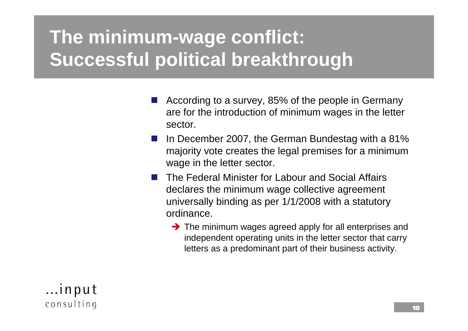### **The minimum-wage conflict: Successful political breakthrough**

- $\overline{\phantom{a}}$  According to a survey, 85% of the people in Germany are for the introduction of minimum wages in the letter sector.
- $\overline{\phantom{a}}$  In December 2007, the German Bundestag with a 81% majority vote creates the legal premises for a minimum wage in the letter sector.
- $\overline{\phantom{a}}$  The Federal Minister for Labour and Social Affairs declares the minimum wage collective agreement universally binding as per 1/1/2008 with a statutory ordinance.
	- $\rightarrow$  The minimum wages agreed apply for all enterprises and independent operating units in the letter sector that carry letters as a predominant part of their business activity.

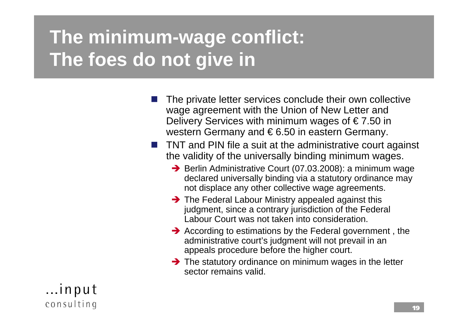#### **The minimum-wage conflict: The foes do not give in**

- $\overline{\phantom{a}}$  The private letter services conclude their own collective wage agreement with the Union of New Letter and Delivery Services with minimum wages of  $\epsilon$  7.50 in western Germany and €6.50 in eastern Germany.
- F TNT and PIN file a suit at the administrative court against the validity of the universally binding minimum wages.
	- $\rightarrow$  Berlin Administrative Court (07.03.2008): a minimum wage declared universally binding via a statutory ordinance may not displace any other collective wage agreements.
	- $\rightarrow$  The Federal Labour Ministry appealed against this judgment, since a contrary jurisdiction of the Federal Labour Court was not taken into consideration.
	- $\rightarrow$  According to estimations by the Federal government, the administrative court's judgment will not prevail in an appeals procedure before the higher court.
	- $\rightarrow$  The statutory ordinance on minimum wages in the letter sector remains valid.